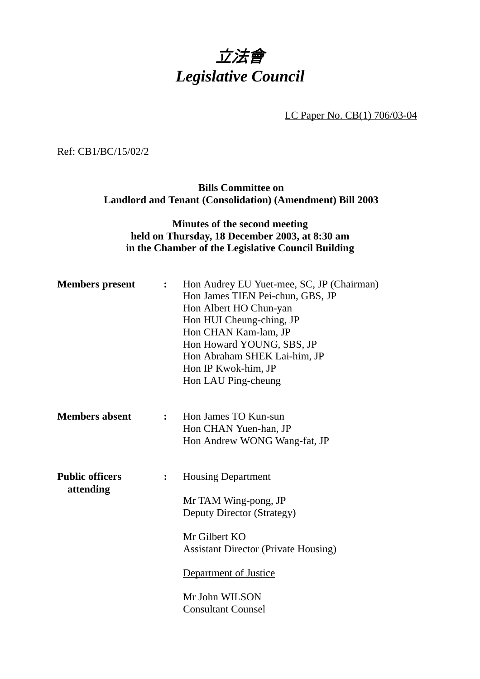## 立法會 *Legislative Council*

LC Paper No. CB(1) 706/03-04

Ref: CB1/BC/15/02/2

**Bills Committee on Landlord and Tenant (Consolidation) (Amendment) Bill 2003**

## **Minutes of the second meeting held on Thursday, 18 December 2003, at 8:30 am in the Chamber of the Legislative Council Building**

| <b>Members</b> present              | $\mathbf{L}$     | Hon Audrey EU Yuet-mee, SC, JP (Chairman)<br>Hon James TIEN Pei-chun, GBS, JP<br>Hon Albert HO Chun-yan<br>Hon HUI Cheung-ching, JP<br>Hon CHAN Kam-lam, JP<br>Hon Howard YOUNG, SBS, JP<br>Hon Abraham SHEK Lai-him, JP<br>Hon IP Kwok-him, JP<br>Hon LAU Ping-cheung |
|-------------------------------------|------------------|------------------------------------------------------------------------------------------------------------------------------------------------------------------------------------------------------------------------------------------------------------------------|
| <b>Members absent</b>               | $\mathbf{r}$     | Hon James TO Kun-sun<br>Hon CHAN Yuen-han, JP<br>Hon Andrew WONG Wang-fat, JP                                                                                                                                                                                          |
| <b>Public officers</b><br>attending | $\ddot{\bullet}$ | <b>Housing Department</b><br>Mr TAM Wing-pong, JP<br>Deputy Director (Strategy)<br>Mr Gilbert KO<br><b>Assistant Director (Private Housing)</b><br>Department of Justice<br>Mr John WILSON<br><b>Consultant Counsel</b>                                                |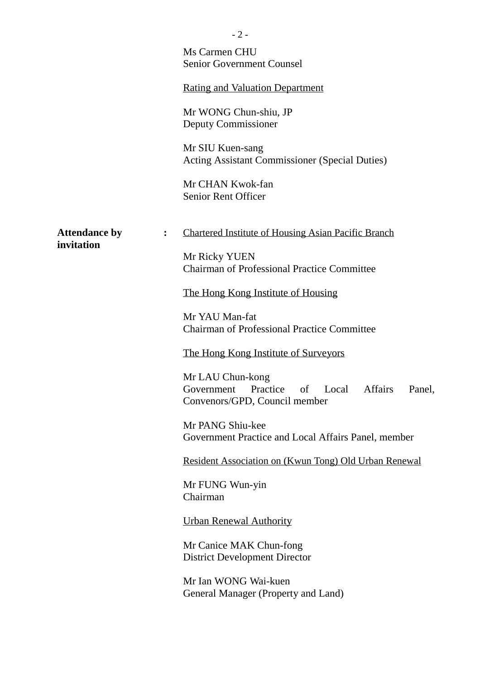|                                    | - 2 -<br>Ms Carmen CHU<br><b>Senior Government Counsel</b><br><b>Rating and Valuation Department</b><br>Mr WONG Chun-shiu, JP<br>Deputy Commissioner<br>Mr SIU Kuen-sang<br><b>Acting Assistant Commissioner (Special Duties)</b><br>Mr CHAN Kwok-fan<br><b>Senior Rent Officer</b>                                                                                                                                                                                                                                                                                                                                                        |
|------------------------------------|--------------------------------------------------------------------------------------------------------------------------------------------------------------------------------------------------------------------------------------------------------------------------------------------------------------------------------------------------------------------------------------------------------------------------------------------------------------------------------------------------------------------------------------------------------------------------------------------------------------------------------------------|
| <b>Attendance by</b><br>invitation | <b>Chartered Institute of Housing Asian Pacific Branch</b><br>$\ddot{\bullet}$<br>Mr Ricky YUEN<br><b>Chairman of Professional Practice Committee</b><br>The Hong Kong Institute of Housing<br>Mr YAU Man-fat<br><b>Chairman of Professional Practice Committee</b><br>The Hong Kong Institute of Surveyors<br>Mr LAU Chun-kong<br><b>Affairs</b><br>Practice<br>of<br>Local<br>Government<br>Panel,<br>Convenors/GPD, Council member<br>Mr PANG Shiu-kee<br>Government Practice and Local Affairs Panel, member<br>Resident Association on (Kwun Tong) Old Urban Renewal<br>Mr FUNG Wun-yin<br>Chairman<br><b>Urban Renewal Authority</b> |
|                                    | Mr Canice MAK Chun-fong<br><b>District Development Director</b><br>Mr Ian WONG Wai-kuen<br>General Manager (Property and Land)                                                                                                                                                                                                                                                                                                                                                                                                                                                                                                             |

 $\overline{2}$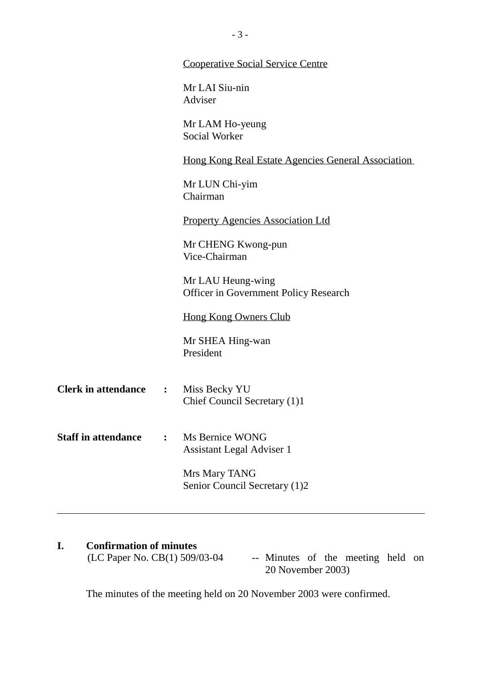|                            |                | <b>Cooperative Social Service Centre</b>                   |
|----------------------------|----------------|------------------------------------------------------------|
|                            |                | Mr LAI Siu-nin<br>Adviser                                  |
|                            |                | Mr LAM Ho-yeung<br><b>Social Worker</b>                    |
|                            |                | <u>Hong Kong Real Estate Agencies General Association</u>  |
|                            |                | Mr LUN Chi-yim<br>Chairman                                 |
|                            |                | <b>Property Agencies Association Ltd</b>                   |
|                            |                | Mr CHENG Kwong-pun<br>Vice-Chairman                        |
|                            |                | Mr LAU Heung-wing<br>Officer in Government Policy Research |
|                            |                | <b>Hong Kong Owners Club</b>                               |
|                            |                | Mr SHEA Hing-wan<br>President                              |
| <b>Clerk in attendance</b> | $\sim$ $\sim$  | Miss Becky YU<br>Chief Council Secretary (1)1              |
| <b>Staff in attendance</b> | $\ddot{\cdot}$ | Ms Bernice WONG<br><b>Assistant Legal Adviser 1</b>        |
|                            |                | Mrs Mary TANG<br>Senior Council Secretary (1)2             |
|                            |                |                                                            |

# **I.** Confirmation of minutes<br>(LC Paper No. CB(1) 509/03-04

-- Minutes of the meeting held on 20 November 2003)

The minutes of the meeting held on 20 November 2003 were confirmed.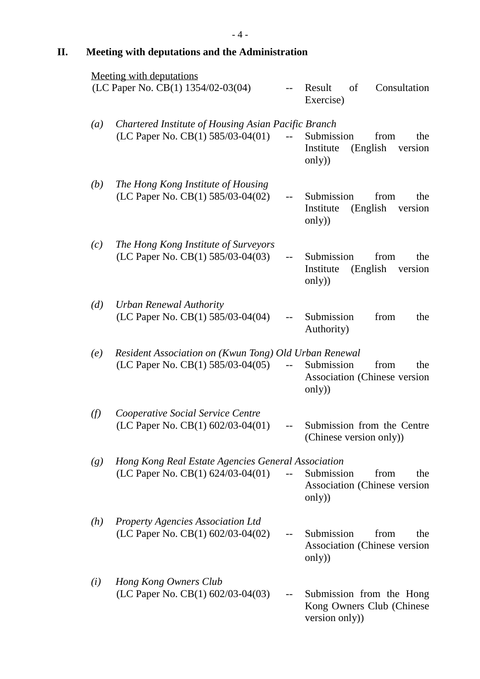## **II. Meeting with deputations and the Administration**

|                  | <b>Meeting with deputations</b><br>(LC Paper No. CB(1) 1354/02-03(04)                              |                          | Result<br>of<br>Consultation                                            |
|------------------|----------------------------------------------------------------------------------------------------|--------------------------|-------------------------------------------------------------------------|
|                  |                                                                                                    |                          | Exercise)                                                               |
| $\left(a\right)$ | Chartered Institute of Housing Asian Pacific Branch<br>(LC Paper No. CB(1) 585/03-04(01)           | $\mathbb{L} \mathbb{L}$  | Submission<br>the<br>from<br>(English<br>Institute<br>version<br>only)  |
| (b)              | The Hong Kong Institute of Housing<br>(LC Paper No. CB(1) 585/03-04(02)                            | $--$                     | Submission<br>from<br>the<br>(English)<br>Institute<br>version<br>only) |
| (c)              | The Hong Kong Institute of Surveyors<br>(LC Paper No. CB(1) 585/03-04(03)                          | $-$                      | Submission<br>from<br>the<br>(English<br>Institute<br>version<br>only)  |
| (d)              | <b>Urban Renewal Authority</b><br>(LC Paper No. CB(1) 585/03-04(04)                                | $\overline{\phantom{a}}$ | from<br>Submission<br>the<br>Authority)                                 |
| (e)              | Resident Association on (Kwun Tong) Old Urban Renewal<br>(LC Paper No. CB $(1)$ 585/03-04 $(05)$ ) | $\overline{\phantom{a}}$ | Submission<br>from<br>the<br>Association (Chinese version)<br>only)     |
| (f)              | Cooperative Social Service Centre<br>(LC Paper No. CB(1) 602/03-04(01)                             |                          | Submission from the Centre<br>(Chinese version only))                   |
| (g)              | Hong Kong Real Estate Agencies General Association<br>(LC Paper No. CB(1) $624/03-04(01)$          | $--$                     | Submission<br>from<br>the<br>Association (Chinese version)<br>only)     |
| (h)              | <b>Property Agencies Association Ltd</b><br>(LC Paper No. CB(1) $602/03-04(02)$                    |                          | Submission<br>from<br>the<br>Association (Chinese version)<br>only)     |
| (i)              | Hong Kong Owners Club<br>(LC Paper No. CB $(1)$ 602/03-04 $(03)$ )                                 |                          | Submission from the Hong<br>Kong Owners Club (Chinese<br>version only)) |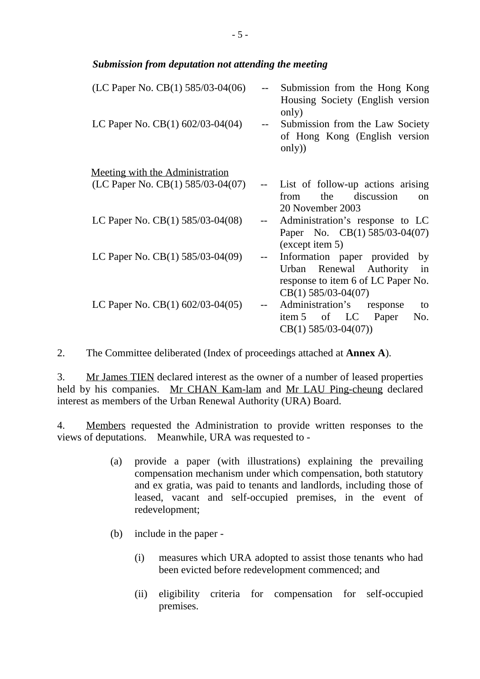### *Submission from deputation not attending the meeting*

| (LC Paper No. CB(1) 585/03-04(06)      |       | Submission from the Hong Kong<br>Housing Society (English version)<br>only)                                                      |
|----------------------------------------|-------|----------------------------------------------------------------------------------------------------------------------------------|
| LC Paper No. CB(1) 602/03-04(04)       | $- -$ | Submission from the Law Society<br>of Hong Kong (English version<br>only)                                                        |
| <u>Meeting with the Administration</u> |       |                                                                                                                                  |
| (LC Paper No. CB(1) 585/03-04(07)      |       | List of follow-up actions arising<br>the discussion<br>from<br>$_{\rm on}$<br>20 November 2003                                   |
| LC Paper No. $CB(1)$ 585/03-04(08)     |       | Administration's response to LC<br>Paper No. CB(1) 585/03-04(07)<br>(except item 5)                                              |
| LC Paper No. $CB(1)$ 585/03-04(09)     |       | Information paper provided<br>by<br>Urban Renewal Authority<br>in<br>response to item 6 of LC Paper No.<br>$CB(1)$ 585/03-04(07) |
| LC Paper No. $CB(1)$ 602/03-04(05)     |       | Administration's response<br>to<br>item 5 of LC Paper<br>No.<br>$CB(1)$ 585/03-04(07))                                           |

2. The Committee deliberated (Index of proceedings attached at **Annex A**).

3. Mr James TIEN declared interest as the owner of a number of leased properties held by his companies. Mr CHAN Kam-lam and Mr LAU Ping-cheung declared interest as members of the Urban Renewal Authority (URA) Board.

4. Members requested the Administration to provide written responses to the views of deputations. Meanwhile, URA was requested to -

- (a) provide a paper (with illustrations) explaining the prevailing compensation mechanism under which compensation, both statutory and ex gratia, was paid to tenants and landlords, including those of leased, vacant and self-occupied premises, in the event of redevelopment;
- (b) include in the paper
	- (i) measures which URA adopted to assist those tenants who had been evicted before redevelopment commenced; and
	- (ii) eligibility criteria for compensation for self-occupied premises.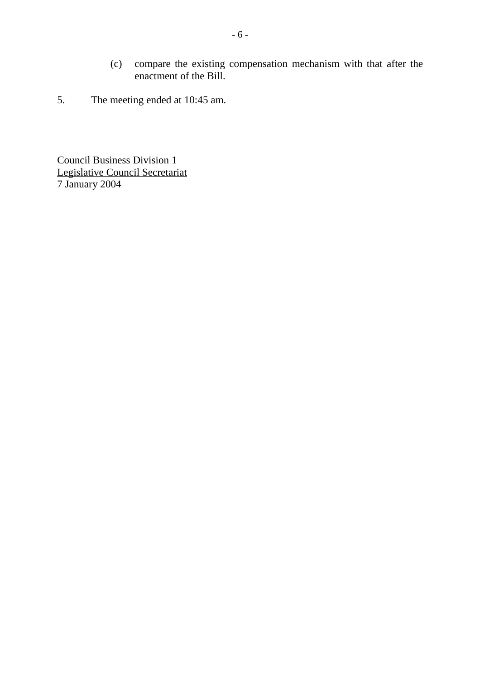- (c) compare the existing compensation mechanism with that after the enactment of the Bill.
- 5. The meeting ended at 10:45 am.

Council Business Division 1 Legislative Council Secretariat 7 January 2004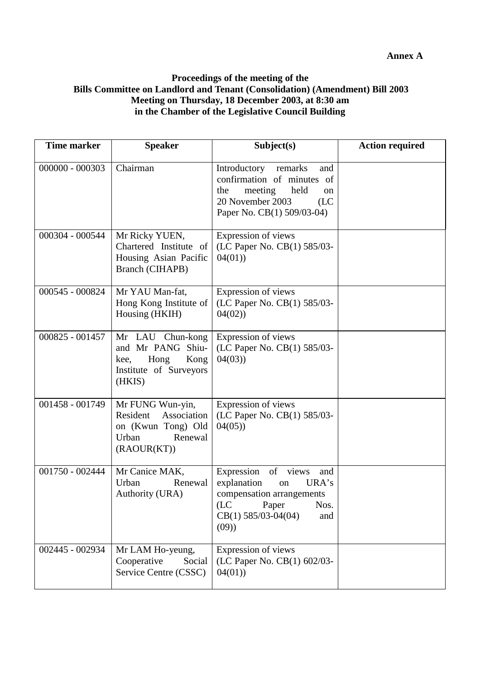#### **Proceedings of the meeting of the Bills Committee on Landlord and Tenant (Consolidation) (Amendment) Bill 2003 Meeting on Thursday, 18 December 2003, at 8:30 am in the Chamber of the Legislative Council Building**

| Time marker     | <b>Speaker</b>                                                                                       | Subject(s)                                                                                                                                                | <b>Action required</b> |
|-----------------|------------------------------------------------------------------------------------------------------|-----------------------------------------------------------------------------------------------------------------------------------------------------------|------------------------|
| 000000 - 000303 | Chairman                                                                                             | Introductory<br>remarks<br>and<br>confirmation of minutes<br>of<br>meeting<br>held<br>the<br>on<br>20 November 2003<br>(LC)<br>Paper No. CB(1) 509/03-04) |                        |
| 000304 - 000544 | Mr Ricky YUEN,<br>Chartered Institute of<br>Housing Asian Pacific<br><b>Branch (CIHAPB)</b>          | Expression of views<br>(LC Paper No. CB(1) 585/03-<br>04(01)                                                                                              |                        |
| 000545 - 000824 | Mr YAU Man-fat,<br>Hong Kong Institute of<br>Housing (HKIH)                                          | Expression of views<br>(LC Paper No. CB(1) 585/03-<br>04(02)                                                                                              |                        |
| 000825 - 001457 | Mr LAU Chun-kong<br>and Mr PANG Shiu-<br>Hong<br>Kong<br>kee,<br>Institute of Surveyors<br>(HKIS)    | Expression of views<br>(LC Paper No. CB(1) 585/03-<br>04(03)                                                                                              |                        |
| 001458 - 001749 | Mr FUNG Wun-yin,<br>Resident<br>Association<br>on (Kwun Tong) Old<br>Urban<br>Renewal<br>(RAOUR(KT)) | Expression of views<br>(LC Paper No. CB(1) 585/03-<br>04(05)                                                                                              |                        |
| 001750 - 002444 | Mr Canice MAK,<br>Urban<br>Renewal<br>Authority (URA)                                                | of views<br>Expression<br>and<br>explanation<br>URA's<br>on<br>compensation arrangements<br>(LC)<br>Paper<br>Nos.<br>$CB(1)$ 585/03-04(04)<br>and<br>(09) |                        |
| 002445 - 002934 | Mr LAM Ho-yeung,<br>Cooperative<br>Social<br>Service Centre (CSSC)                                   | Expression of views<br>(LC Paper No. CB(1) 602/03-<br>04(01)                                                                                              |                        |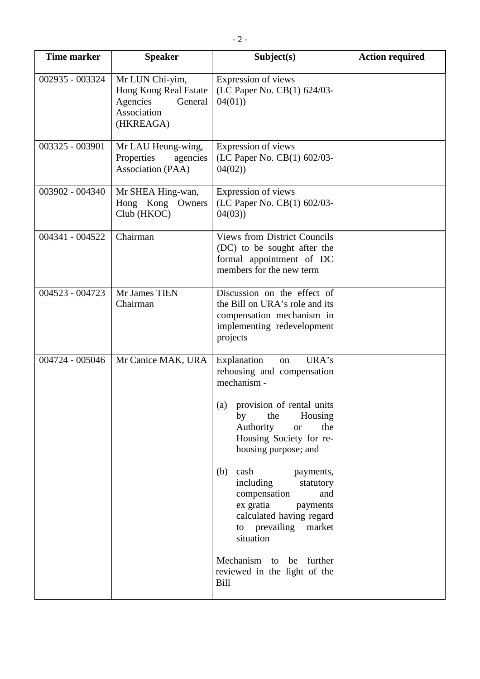| <b>Time marker</b> | <b>Speaker</b>                                                                              | Subject(s)                                                                                                                                                                                                                                                                                                                                                                                     | <b>Action required</b> |
|--------------------|---------------------------------------------------------------------------------------------|------------------------------------------------------------------------------------------------------------------------------------------------------------------------------------------------------------------------------------------------------------------------------------------------------------------------------------------------------------------------------------------------|------------------------|
| 002935 - 003324    | Mr LUN Chi-yim,<br>Hong Kong Real Estate<br>Agencies<br>General<br>Association<br>(HKREAGA) | Expression of views<br>(LC Paper No. CB(1) 624/03-<br>04(01)                                                                                                                                                                                                                                                                                                                                   |                        |
| 003325 - 003901    | Mr LAU Heung-wing,<br>Properties<br>agencies<br>Association (PAA)                           | Expression of views<br>(LC Paper No. CB(1) 602/03-<br>04(02)                                                                                                                                                                                                                                                                                                                                   |                        |
| 003902 - 004340    | Mr SHEA Hing-wan,<br>Hong Kong Owners<br>Club (HKOC)                                        | Expression of views<br>(LC Paper No. CB(1) 602/03-<br>04(03)                                                                                                                                                                                                                                                                                                                                   |                        |
| 004341 - 004522    | Chairman                                                                                    | <b>Views from District Councils</b><br>(DC) to be sought after the<br>formal appointment of DC<br>members for the new term                                                                                                                                                                                                                                                                     |                        |
| 004523 - 004723    | Mr James TIEN<br>Chairman                                                                   | Discussion on the effect of<br>the Bill on URA's role and its<br>compensation mechanism in<br>implementing redevelopment<br>projects                                                                                                                                                                                                                                                           |                        |
| 004724 - 005046    | Mr Canice MAK, URA                                                                          | URA's<br>Explanation<br>on<br>rehousing and compensation<br>mechanism -<br>provision of rental units<br>(a)<br>by<br>the<br>Housing<br>Authority<br>the<br><b>or</b><br>Housing Society for re-<br>housing purpose; and<br>(b)<br>cash<br>payments,<br>including<br>statutory<br>compensation<br>and<br>ex gratia<br>payments<br>calculated having regard<br>to prevailing market<br>situation |                        |
|                    |                                                                                             | Mechanism to be further<br>reviewed in the light of the<br>Bill                                                                                                                                                                                                                                                                                                                                |                        |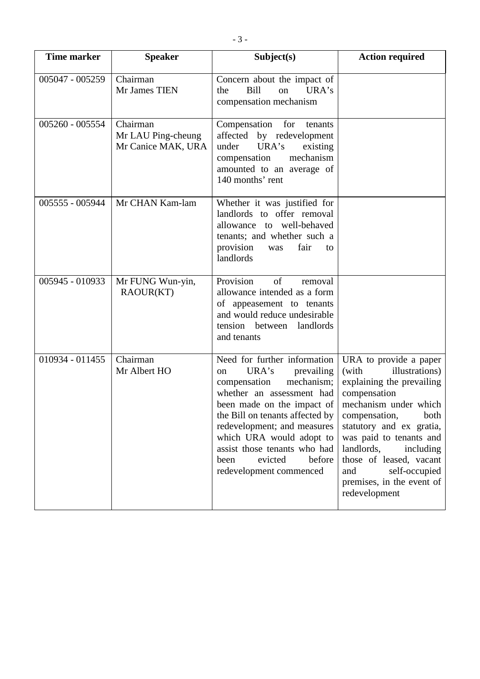| <b>Time marker</b> | <b>Speaker</b>                                       | Subject(s)                                                                                                                                                                                                                                                                                                                                          | <b>Action required</b>                                                                                                                                                                                                                                                                                                              |
|--------------------|------------------------------------------------------|-----------------------------------------------------------------------------------------------------------------------------------------------------------------------------------------------------------------------------------------------------------------------------------------------------------------------------------------------------|-------------------------------------------------------------------------------------------------------------------------------------------------------------------------------------------------------------------------------------------------------------------------------------------------------------------------------------|
| 005047 - 005259    | Chairman<br>Mr James TIEN                            | Concern about the impact of<br><b>Bill</b><br>URA's<br>the<br>on<br>compensation mechanism                                                                                                                                                                                                                                                          |                                                                                                                                                                                                                                                                                                                                     |
| 005260 - 005554    | Chairman<br>Mr LAU Ping-cheung<br>Mr Canice MAK, URA | Compensation for<br>tenants<br>affected<br>by redevelopment<br>URA's<br>under<br>existing<br>mechanism<br>compensation<br>amounted to an average of<br>140 months' rent                                                                                                                                                                             |                                                                                                                                                                                                                                                                                                                                     |
| 005555 - 005944    | Mr CHAN Kam-lam                                      | Whether it was justified for<br>landlords to offer removal<br>allowance to well-behaved<br>tenants; and whether such a<br>provision<br>fair<br>was<br>to<br>landlords                                                                                                                                                                               |                                                                                                                                                                                                                                                                                                                                     |
| 005945 - 010933    | Mr FUNG Wun-yin,<br>RAOUR(KT)                        | Provision<br>of<br>removal<br>allowance intended as a form<br>of appeasement to tenants<br>and would reduce undesirable<br>tension between<br>landlords<br>and tenants                                                                                                                                                                              |                                                                                                                                                                                                                                                                                                                                     |
| 010934 - 011455    | Chairman<br>Mr Albert HO                             | Need for further information<br>URA's<br>prevailing<br><sub>on</sub><br>mechanism;<br>compensation<br>whether an assessment had<br>been made on the impact of<br>the Bill on tenants affected by<br>redevelopment; and measures<br>which URA would adopt to<br>assist those tenants who had<br>evicted<br>before<br>been<br>redevelopment commenced | URA to provide a paper<br>illustrations)<br>(with<br>explaining the prevailing<br>compensation<br>mechanism under which<br>compensation,<br>both<br>statutory and ex gratia,<br>was paid to tenants and<br>landlords,<br>including<br>those of leased, vacant<br>self-occupied<br>and<br>premises, in the event of<br>redevelopment |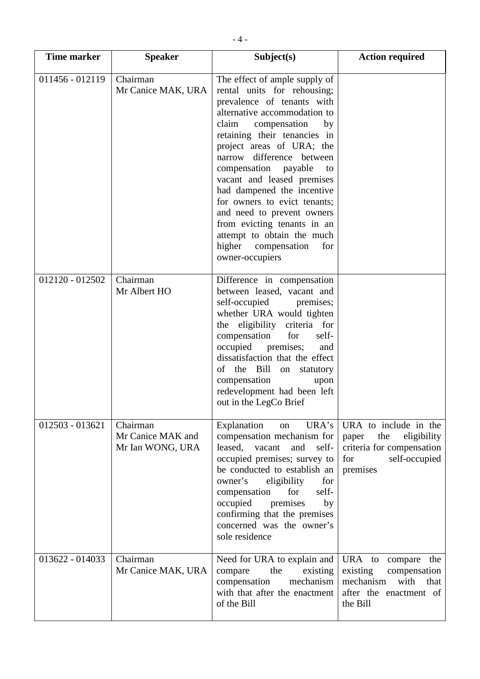| <b>Time marker</b> | <b>Speaker</b>                                    | Subject(s)                                                                                                                                                                                                                                                                                                                                                                                                                                                                                                                   | <b>Action required</b>                                                                                                  |
|--------------------|---------------------------------------------------|------------------------------------------------------------------------------------------------------------------------------------------------------------------------------------------------------------------------------------------------------------------------------------------------------------------------------------------------------------------------------------------------------------------------------------------------------------------------------------------------------------------------------|-------------------------------------------------------------------------------------------------------------------------|
| 011456 - 012119    | Chairman<br>Mr Canice MAK, URA                    | The effect of ample supply of<br>rental units for rehousing;<br>prevalence of tenants with<br>alternative accommodation to<br>claim<br>compensation<br>by<br>retaining their tenancies in<br>project areas of URA; the<br>narrow difference between<br>compensation payable<br>to<br>vacant and leased premises<br>had dampened the incentive<br>for owners to evict tenants;<br>and need to prevent owners<br>from evicting tenants in an<br>attempt to obtain the much<br>higher<br>compensation<br>for<br>owner-occupiers |                                                                                                                         |
| 012120 - 012502    | Chairman<br>Mr Albert HO                          | Difference in compensation<br>between leased, vacant and<br>self-occupied premises;<br>whether URA would tighten<br>the eligibility criteria for<br>compensation<br>for<br>self-<br>occupied premises;<br>and<br>dissatisfaction that the effect<br>of the Bill on<br>statutory<br>compensation<br>upon<br>redevelopment had been left<br>out in the LegCo Brief                                                                                                                                                             |                                                                                                                         |
| 012503 - 013621    | Chairman<br>Mr Canice MAK and<br>Mr Ian WONG, URA | Explanation<br>URA's<br>on<br>compensation mechanism for<br>leased,<br>vacant<br>and<br>self-<br>occupied premises; survey to<br>be conducted to establish an<br>owner's<br>eligibility<br>for<br>compensation<br>for<br>self-<br>occupied<br>premises<br>by<br>confirming that the premises<br>concerned was the owner's<br>sole residence                                                                                                                                                                                  | URA to include in the<br>the<br>eligibility<br>paper<br>criteria for compensation<br>self-occupied<br>for<br>premises   |
| 013622 - 014033    | Chairman<br>Mr Canice MAK, URA                    | Need for URA to explain and<br>the<br>existing<br>compare<br>compensation<br>mechanism<br>with that after the enactment<br>of the Bill                                                                                                                                                                                                                                                                                                                                                                                       | URA to<br>the<br>compare<br>existing<br>compensation<br>mechanism<br>with<br>that<br>after the enactment of<br>the Bill |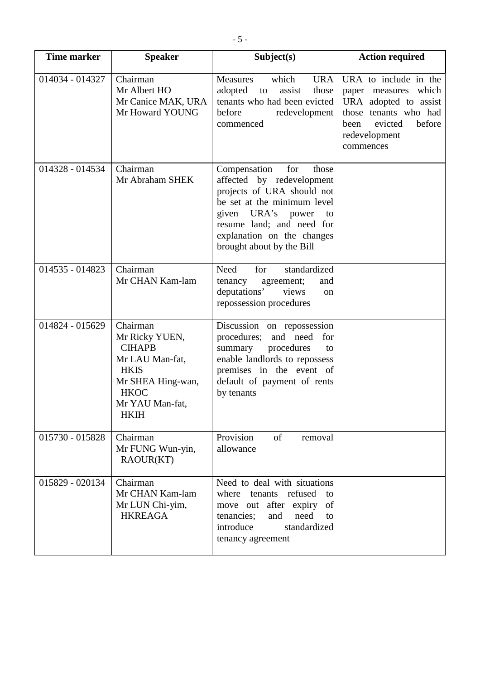| <b>Time marker</b> | <b>Speaker</b>                                                                                                                                      | Subject(s)                                                                                                                                                                                                                                | <b>Action required</b>                                                                                                                                     |
|--------------------|-----------------------------------------------------------------------------------------------------------------------------------------------------|-------------------------------------------------------------------------------------------------------------------------------------------------------------------------------------------------------------------------------------------|------------------------------------------------------------------------------------------------------------------------------------------------------------|
| 014034 - 014327    | Chairman<br>Mr Albert HO<br>Mr Canice MAK, URA<br>Mr Howard YOUNG                                                                                   | which<br><b>URA</b><br><b>Measures</b><br>adopted<br>assist<br>to<br>those<br>tenants who had been evicted<br>before<br>redevelopment<br>commenced                                                                                        | URA to include in the<br>paper measures which<br>URA adopted to assist<br>those tenants who had<br>before<br>evicted<br>been<br>redevelopment<br>commences |
| 014328 - 014534    | Chairman<br>Mr Abraham SHEK                                                                                                                         | Compensation<br>for<br>those<br>affected by redevelopment<br>projects of URA should not<br>be set at the minimum level<br>given URA's power<br>to<br>resume land; and need for<br>explanation on the changes<br>brought about by the Bill |                                                                                                                                                            |
| 014535 - 014823    | Chairman<br>Mr CHAN Kam-lam                                                                                                                         | standardized<br>Need<br>for<br>tenancy<br>agreement;<br>and<br>deputations'<br>views<br>on<br>repossession procedures                                                                                                                     |                                                                                                                                                            |
| 014824 - 015629    | Chairman<br>Mr Ricky YUEN,<br><b>CIHAPB</b><br>Mr LAU Man-fat,<br><b>HKIS</b><br>Mr SHEA Hing-wan,<br><b>HKOC</b><br>Mr YAU Man-fat,<br><b>HKIH</b> | Discussion on repossession<br>procedures; and need<br>for<br>procedures<br>summary<br>to<br>enable landlords to repossess<br>premises in the event of<br>default of payment of rents<br>by tenants                                        |                                                                                                                                                            |
| 015730 - 015828    | Chairman<br>Mr FUNG Wun-yin,<br>RAOUR(KT)                                                                                                           | Provision<br>of<br>removal<br>allowance                                                                                                                                                                                                   |                                                                                                                                                            |
| 015829 - 020134    | Chairman<br>Mr CHAN Kam-lam<br>Mr LUN Chi-yim,<br><b>HKREAGA</b>                                                                                    | Need to deal with situations<br>refused<br>where<br>tenants<br>to<br>of<br>move out after expiry<br>need<br>tenancies;<br>and<br>to<br>standardized<br>introduce<br>tenancy agreement                                                     |                                                                                                                                                            |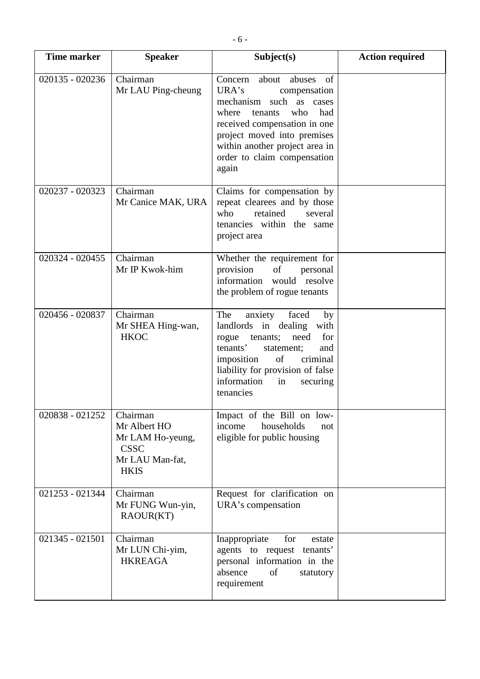| <b>Time marker</b> | <b>Speaker</b>                                                                                | Subject(s)                                                                                                                                                                                                                                                         | <b>Action required</b> |
|--------------------|-----------------------------------------------------------------------------------------------|--------------------------------------------------------------------------------------------------------------------------------------------------------------------------------------------------------------------------------------------------------------------|------------------------|
| 020135 - 020236    | Chairman<br>Mr LAU Ping-cheung                                                                | about<br>abuses<br>of<br>Concern<br>URA's<br>compensation<br>such as cases<br>mechanism<br>where<br>who<br>had<br>tenants<br>received compensation in one<br>project moved into premises<br>within another project area in<br>order to claim compensation<br>again |                        |
| 020237 - 020323    | Chairman<br>Mr Canice MAK, URA                                                                | Claims for compensation by<br>repeat clearees and by those<br>who<br>retained<br>several<br>tenancies within the same<br>project area                                                                                                                              |                        |
| 020324 - 020455    | Chairman<br>Mr IP Kwok-him                                                                    | Whether the requirement for<br>provision<br>of<br>personal<br>information would resolve<br>the problem of rogue tenants                                                                                                                                            |                        |
| 020456 - 020837    | Chairman<br>Mr SHEA Hing-wan,<br><b>HKOC</b>                                                  | The<br>faced<br>anxiety<br>by<br>landlords in dealing<br>with<br>need<br>for<br>rogue tenants;<br>tenants'<br>statement;<br>and<br>of<br>imposition<br>criminal<br>liability for provision of false<br>information<br>in<br>securing<br>tenancies                  |                        |
| 020838 - 021252    | Chairman<br>Mr Albert HO<br>Mr LAM Ho-yeung,<br><b>CSSC</b><br>Mr LAU Man-fat,<br><b>HKIS</b> | Impact of the Bill on low-<br>income<br>households<br>not<br>eligible for public housing                                                                                                                                                                           |                        |
| 021253 - 021344    | Chairman<br>Mr FUNG Wun-yin,<br>RAOUR(KT)                                                     | Request for clarification on<br>URA's compensation                                                                                                                                                                                                                 |                        |
| 021345 - 021501    | Chairman<br>Mr LUN Chi-yim,<br><b>HKREAGA</b>                                                 | Inappropriate<br>for<br>estate<br>agents to request tenants'<br>personal information in the<br>absence<br>of<br>statutory<br>requirement                                                                                                                           |                        |